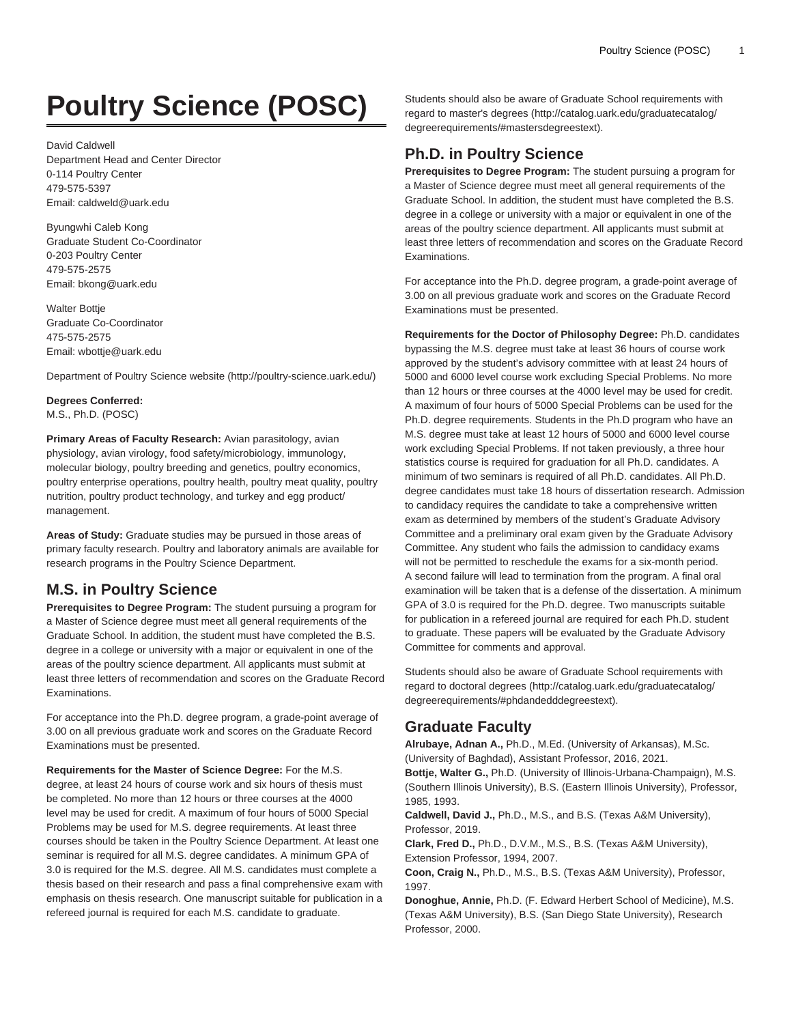# **Poultry Science (POSC)**

David Caldwell Department Head and Center Director 0-114 Poultry Center 479-575-5397 Email: [caldweld@uark.edu](mailto:caldweld@uark.edu)

Byungwhi Caleb Kong Graduate Student Co-Coordinator 0-203 Poultry Center 479-575-2575 Email: [bkong@uark.edu](mailto:bkong@uark.edu)

Walter Bottie Graduate Co-Coordinator 475-575-2575 Email: [wbottje@uark.edu](mailto:wbottje@uark.edu)

[Department of Poultry Science website](http://poultry-science.uark.edu/) (<http://poultry-science.uark.edu/>)

**Degrees Conferred:**

M.S., Ph.D. (POSC)

**Primary Areas of Faculty Research:** Avian parasitology, avian physiology, avian virology, food safety/microbiology, immunology, molecular biology, poultry breeding and genetics, poultry economics, poultry enterprise operations, poultry health, poultry meat quality, poultry nutrition, poultry product technology, and turkey and egg product/ management.

**Areas of Study:** Graduate studies may be pursued in those areas of primary faculty research. Poultry and laboratory animals are available for research programs in the Poultry Science Department.

# **M.S. in Poultry Science**

**Prerequisites to Degree Program:** The student pursuing a program for a Master of Science degree must meet all general requirements of the Graduate School. In addition, the student must have completed the B.S. degree in a college or university with a major or equivalent in one of the areas of the poultry science department. All applicants must submit at least three letters of recommendation and scores on the Graduate Record Examinations.

For acceptance into the Ph.D. degree program, a grade-point average of 3.00 on all previous graduate work and scores on the Graduate Record Examinations must be presented.

**Requirements for the Master of Science Degree:** For the M.S. degree, at least 24 hours of course work and six hours of thesis must be completed. No more than 12 hours or three courses at the 4000 level may be used for credit. A maximum of four hours of 5000 Special Problems may be used for M.S. degree requirements. At least three courses should be taken in the Poultry Science Department. At least one seminar is required for all M.S. degree candidates. A minimum GPA of 3.0 is required for the M.S. degree. All M.S. candidates must complete a thesis based on their research and pass a final comprehensive exam with emphasis on thesis research. One manuscript suitable for publication in a refereed journal is required for each M.S. candidate to graduate.

Students should also be aware of Graduate School requirements with regard to [master's degrees \(http://catalog.uark.edu/graduatecatalog/](http://catalog.uark.edu/graduatecatalog/degreerequirements/#mastersdegreestext) [degreerequirements/#mastersdegreestext\)](http://catalog.uark.edu/graduatecatalog/degreerequirements/#mastersdegreestext).

# **Ph.D. in Poultry Science**

**Prerequisites to Degree Program:** The student pursuing a program for a Master of Science degree must meet all general requirements of the Graduate School. In addition, the student must have completed the B.S. degree in a college or university with a major or equivalent in one of the areas of the poultry science department. All applicants must submit at least three letters of recommendation and scores on the Graduate Record Examinations.

For acceptance into the Ph.D. degree program, a grade-point average of 3.00 on all previous graduate work and scores on the Graduate Record Examinations must be presented.

**Requirements for the Doctor of Philosophy Degree:** Ph.D. candidates bypassing the M.S. degree must take at least 36 hours of course work approved by the student's advisory committee with at least 24 hours of 5000 and 6000 level course work excluding Special Problems. No more than 12 hours or three courses at the 4000 level may be used for credit. A maximum of four hours of 5000 Special Problems can be used for the Ph.D. degree requirements. Students in the Ph.D program who have an M.S. degree must take at least 12 hours of 5000 and 6000 level course work excluding Special Problems. If not taken previously, a three hour statistics course is required for graduation for all Ph.D. candidates. A minimum of two seminars is required of all Ph.D. candidates. All Ph.D. degree candidates must take 18 hours of dissertation research. Admission to candidacy requires the candidate to take a comprehensive written exam as determined by members of the student's Graduate Advisory Committee and a preliminary oral exam given by the Graduate Advisory Committee. Any student who fails the admission to candidacy exams will not be permitted to reschedule the exams for a six-month period. A second failure will lead to termination from the program. A final oral examination will be taken that is a defense of the dissertation. A minimum GPA of 3.0 is required for the Ph.D. degree. Two manuscripts suitable for publication in a refereed journal are required for each Ph.D. student to graduate. These papers will be evaluated by the Graduate Advisory Committee for comments and approval.

Students should also be aware of Graduate School requirements with regard to [doctoral degrees](http://catalog.uark.edu/graduatecatalog/degreerequirements/#phdandedddegreestext) ([http://catalog.uark.edu/graduatecatalog/](http://catalog.uark.edu/graduatecatalog/degreerequirements/#phdandedddegreestext) [degreerequirements/#phdandedddegreestext](http://catalog.uark.edu/graduatecatalog/degreerequirements/#phdandedddegreestext)).

# **Graduate Faculty**

**Alrubaye, Adnan A.,** Ph.D., M.Ed. (University of Arkansas), M.Sc. (University of Baghdad), Assistant Professor, 2016, 2021.

**Bottje, Walter G.,** Ph.D. (University of Illinois-Urbana-Champaign), M.S. (Southern Illinois University), B.S. (Eastern Illinois University), Professor, 1985, 1993.

**Caldwell, David J.,** Ph.D., M.S., and B.S. (Texas A&M University), Professor, 2019.

**Clark, Fred D.,** Ph.D., D.V.M., M.S., B.S. (Texas A&M University), Extension Professor, 1994, 2007.

**Coon, Craig N.,** Ph.D., M.S., B.S. (Texas A&M University), Professor, 1997.

**Donoghue, Annie,** Ph.D. (F. Edward Herbert School of Medicine), M.S. (Texas A&M University), B.S. (San Diego State University), Research Professor, 2000.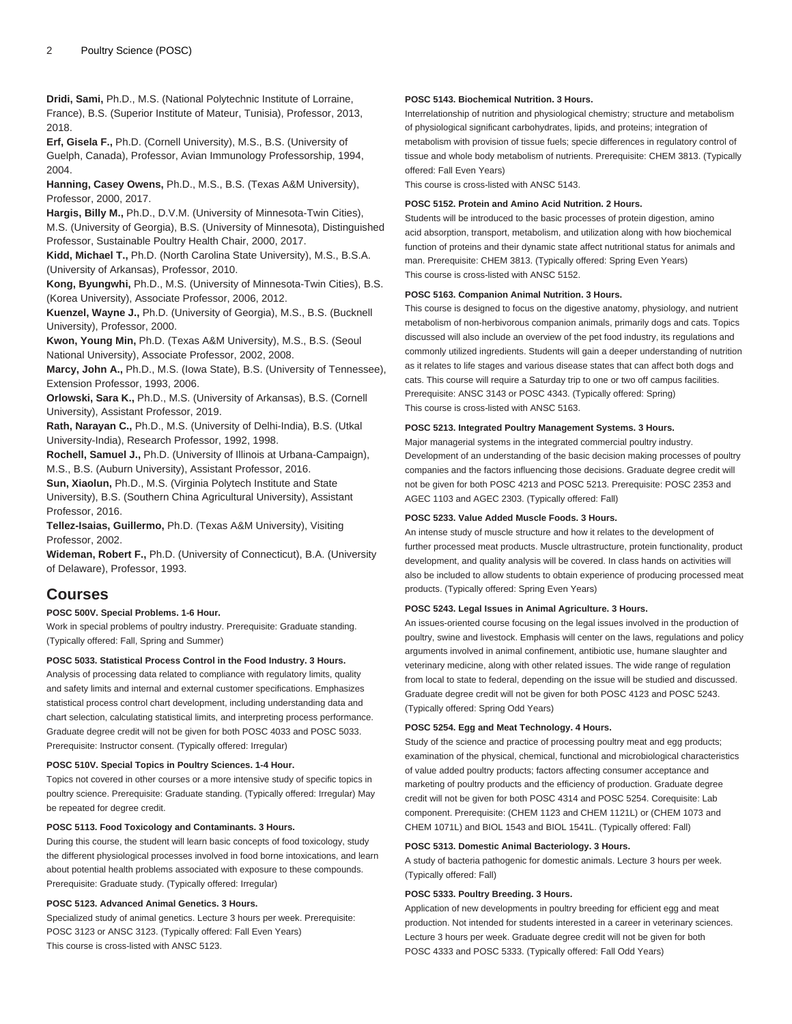**Dridi, Sami,** Ph.D., M.S. (National Polytechnic Institute of Lorraine, France), B.S. (Superior Institute of Mateur, Tunisia), Professor, 2013, 2018.

**Erf, Gisela F.,** Ph.D. (Cornell University), M.S., B.S. (University of Guelph, Canada), Professor, Avian Immunology Professorship, 1994, 2004.

**Hanning, Casey Owens,** Ph.D., M.S., B.S. (Texas A&M University), Professor, 2000, 2017.

**Hargis, Billy M.,** Ph.D., D.V.M. (University of Minnesota-Twin Cities), M.S. (University of Georgia), B.S. (University of Minnesota), Distinguished Professor, Sustainable Poultry Health Chair, 2000, 2017.

**Kidd, Michael T.,** Ph.D. (North Carolina State University), M.S., B.S.A. (University of Arkansas), Professor, 2010.

**Kong, Byungwhi,** Ph.D., M.S. (University of Minnesota-Twin Cities), B.S. (Korea University), Associate Professor, 2006, 2012.

**Kuenzel, Wayne J.,** Ph.D. (University of Georgia), M.S., B.S. (Bucknell University), Professor, 2000.

**Kwon, Young Min,** Ph.D. (Texas A&M University), M.S., B.S. (Seoul National University), Associate Professor, 2002, 2008.

**Marcy, John A.,** Ph.D., M.S. (Iowa State), B.S. (University of Tennessee), Extension Professor, 1993, 2006.

**Orlowski, Sara K.,** Ph.D., M.S. (University of Arkansas), B.S. (Cornell University), Assistant Professor, 2019.

**Rath, Narayan C.,** Ph.D., M.S. (University of Delhi-India), B.S. (Utkal University-India), Research Professor, 1992, 1998.

**Rochell, Samuel J.,** Ph.D. (University of Illinois at Urbana-Campaign), M.S., B.S. (Auburn University), Assistant Professor, 2016.

**Sun, Xiaolun,** Ph.D., M.S. (Virginia Polytech Institute and State University), B.S. (Southern China Agricultural University), Assistant Professor, 2016.

**Tellez-Isaias, Guillermo,** Ph.D. (Texas A&M University), Visiting Professor, 2002.

**Wideman, Robert F.,** Ph.D. (University of Connecticut), B.A. (University of Delaware), Professor, 1993.

# **Courses**

**POSC 500V. Special Problems. 1-6 Hour.**

Work in special problems of poultry industry. Prerequisite: Graduate standing. (Typically offered: Fall, Spring and Summer)

# **POSC 5033. Statistical Process Control in the Food Industry. 3 Hours.**

Analysis of processing data related to compliance with regulatory limits, quality and safety limits and internal and external customer specifications. Emphasizes statistical process control chart development, including understanding data and chart selection, calculating statistical limits, and interpreting process performance. Graduate degree credit will not be given for both [POSC 4033](/search/?P=POSC%204033) and [POSC 5033.](/search/?P=POSC%205033) Prerequisite: Instructor consent. (Typically offered: Irregular)

#### **POSC 510V. Special Topics in Poultry Sciences. 1-4 Hour.**

Topics not covered in other courses or a more intensive study of specific topics in poultry science. Prerequisite: Graduate standing. (Typically offered: Irregular) May be repeated for degree credit.

**POSC 5113. Food Toxicology and Contaminants. 3 Hours.**

During this course, the student will learn basic concepts of food toxicology, study the different physiological processes involved in food borne intoxications, and learn about potential health problems associated with exposure to these compounds. Prerequisite: Graduate study. (Typically offered: Irregular)

## **POSC 5123. Advanced Animal Genetics. 3 Hours.**

Specialized study of animal genetics. Lecture 3 hours per week. Prerequisite: [POSC 3123](/search/?P=POSC%203123) or [ANSC 3123](/search/?P=ANSC%203123). (Typically offered: Fall Even Years) This course is cross-listed with [ANSC 5123.](/search/?P=ANSC%205123)

#### **POSC 5143. Biochemical Nutrition. 3 Hours.**

Interrelationship of nutrition and physiological chemistry; structure and metabolism of physiological significant carbohydrates, lipids, and proteins; integration of metabolism with provision of tissue fuels; specie differences in regulatory control of tissue and whole body metabolism of nutrients. Prerequisite: [CHEM 3813](/search/?P=CHEM%203813). (Typically offered: Fall Even Years)

This course is cross-listed with [ANSC 5143](/search/?P=ANSC%205143).

# **POSC 5152. Protein and Amino Acid Nutrition. 2 Hours.**

Students will be introduced to the basic processes of protein digestion, amino acid absorption, transport, metabolism, and utilization along with how biochemical function of proteins and their dynamic state affect nutritional status for animals and man. Prerequisite: [CHEM 3813](/search/?P=CHEM%203813). (Typically offered: Spring Even Years) This course is cross-listed with [ANSC 5152](/search/?P=ANSC%205152).

#### **POSC 5163. Companion Animal Nutrition. 3 Hours.**

This course is designed to focus on the digestive anatomy, physiology, and nutrient metabolism of non-herbivorous companion animals, primarily dogs and cats. Topics discussed will also include an overview of the pet food industry, its regulations and commonly utilized ingredients. Students will gain a deeper understanding of nutrition as it relates to life stages and various disease states that can affect both dogs and cats. This course will require a Saturday trip to one or two off campus facilities. Prerequisite: [ANSC 3143](/search/?P=ANSC%203143) or [POSC 4343.](/search/?P=POSC%204343) (Typically offered: Spring) This course is cross-listed with [ANSC 5163](/search/?P=ANSC%205163).

## **POSC 5213. Integrated Poultry Management Systems. 3 Hours.**

Major managerial systems in the integrated commercial poultry industry. Development of an understanding of the basic decision making processes of poultry companies and the factors influencing those decisions. Graduate degree credit will not be given for both [POSC 4213](/search/?P=POSC%204213) and [POSC 5213](/search/?P=POSC%205213). Prerequisite: [POSC 2353](/search/?P=POSC%202353) and [AGEC 1103](/search/?P=AGEC%201103) and [AGEC 2303](/search/?P=AGEC%202303). (Typically offered: Fall)

#### **POSC 5233. Value Added Muscle Foods. 3 Hours.**

An intense study of muscle structure and how it relates to the development of further processed meat products. Muscle ultrastructure, protein functionality, product development, and quality analysis will be covered. In class hands on activities will also be included to allow students to obtain experience of producing processed meat products. (Typically offered: Spring Even Years)

#### **POSC 5243. Legal Issues in Animal Agriculture. 3 Hours.**

An issues-oriented course focusing on the legal issues involved in the production of poultry, swine and livestock. Emphasis will center on the laws, regulations and policy arguments involved in animal confinement, antibiotic use, humane slaughter and veterinary medicine, along with other related issues. The wide range of regulation from local to state to federal, depending on the issue will be studied and discussed. Graduate degree credit will not be given for both [POSC 4123](/search/?P=POSC%204123) and [POSC 5243.](/search/?P=POSC%205243) (Typically offered: Spring Odd Years)

#### **POSC 5254. Egg and Meat Technology. 4 Hours.**

Study of the science and practice of processing poultry meat and egg products; examination of the physical, chemical, functional and microbiological characteristics of value added poultry products; factors affecting consumer acceptance and marketing of poultry products and the efficiency of production. Graduate degree credit will not be given for both [POSC 4314](/search/?P=POSC%204314) and [POSC 5254.](/search/?P=POSC%205254) Corequisite: Lab component. Prerequisite: [\(CHEM 1123](/search/?P=CHEM%201123) and [CHEM 1121L\)](/search/?P=CHEM%201121L) or ([CHEM 1073](/search/?P=CHEM%201073) and [CHEM 1071L](/search/?P=CHEM%201071L)) and [BIOL 1543](/search/?P=BIOL%201543) and [BIOL 1541L.](/search/?P=BIOL%201541L) (Typically offered: Fall)

## **POSC 5313. Domestic Animal Bacteriology. 3 Hours.**

A study of bacteria pathogenic for domestic animals. Lecture 3 hours per week. (Typically offered: Fall)

#### **POSC 5333. Poultry Breeding. 3 Hours.**

Application of new developments in poultry breeding for efficient egg and meat production. Not intended for students interested in a career in veterinary sciences. Lecture 3 hours per week. Graduate degree credit will not be given for both [POSC 4333](/search/?P=POSC%204333) and [POSC 5333](/search/?P=POSC%205333). (Typically offered: Fall Odd Years)